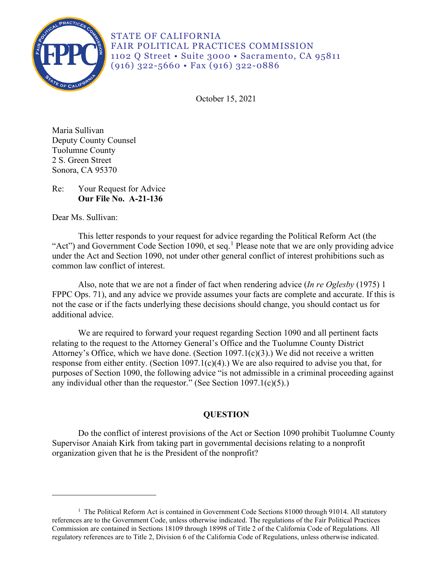

STATE OF CALIFORNIA FAIR POLITICAL PRACTICES COMMISSION 1102 Q Street • Suite 3000 • Sacramento, CA 95811 (916) 322-5660 • Fax (916) 322-0886

October 15, 2021

Maria Sullivan Deputy County Counsel Tuolumne County 2 S. Green Street Sonora, CA 95370

# Re: Your Request for Advice **Our File No. A-21-136**

Dear Ms. Sullivan:

 under the Act and Section 1090, not under other general conflict of interest prohibitions such as This letter responds to your request for advice regarding the Political Reform Act (the "Act") and Government Code Section [1](#page-0-0)090, et seq.<sup>1</sup> Please note that we are only providing advice common law conflict of interest.

Also, note that we are not a finder of fact when rendering advice (*In re Oglesby* (1975) 1 FPPC Ops. 71), and any advice we provide assumes your facts are complete and accurate. If this is not the case or if the facts underlying these decisions should change, you should contact us for additional advice.

We are required to forward your request regarding Section 1090 and all pertinent facts relating to the request to the Attorney General's Office and the Tuolumne County District Attorney's Office, which we have done. (Section 1097.1(c)(3).) We did not receive a written response from either entity. (Section 1097.1(c)(4).) We are also required to advise you that, for purposes of Section 1090, the following advice "is not admissible in a criminal proceeding against any individual other than the requestor." (See Section 1097.1(c)(5).)

# **QUESTION**

Do the conflict of interest provisions of the Act or Section 1090 prohibit Tuolumne County Supervisor Anaiah Kirk from taking part in governmental decisions relating to a nonprofit organization given that he is the President of the nonprofit?

<span id="page-0-0"></span><sup>&</sup>lt;sup>1</sup> The Political Reform Act is contained in Government Code Sections 81000 through 91014. All statutory references are to the Government Code, unless otherwise indicated. The regulations of the Fair Political Practices Commission are contained in Sections 18109 through 18998 of Title 2 of the California Code of Regulations. All regulatory references are to Title 2, Division 6 of the California Code of Regulations, unless otherwise indicated.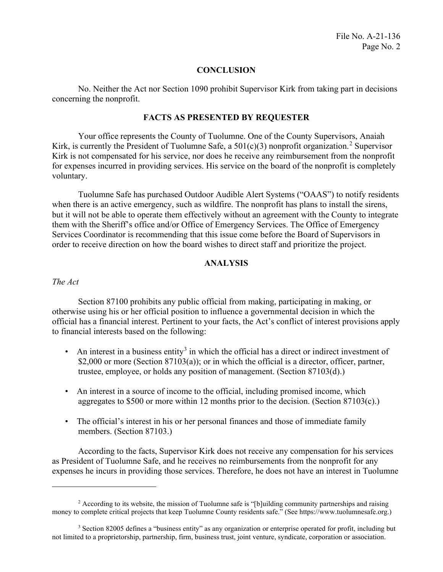# **CONCLUSION**

 No. Neither the Act nor Section 1090 prohibit Supervisor Kirk from taking part in decisions concerning the nonprofit.

### **FACTS AS PRESENTED BY REQUESTER**

Your office represents the County of Tuolumne. One of the County Supervisors, Anaiah Kirk, is currently the President of Tuolumne Safe, a  $501(c)(3)$  nonprofit organization.<sup>[2](#page-1-0)</sup> Supervisor Kirk is not compensated for his service, nor does he receive any reimbursement from the nonprofit for expenses incurred in providing services. His service on the board of the nonprofit is completely voluntary.

Tuolumne Safe has purchased Outdoor Audible Alert Systems ("OAAS") to notify residents when there is an active emergency, such as wildfire. The nonprofit has plans to install the sirens, but it will not be able to operate them effectively without an agreement with the County to integrate them with the Sheriff's office and/or Office of Emergency Services. The Office of Emergency Services Coordinator is recommending that this issue come before the Board of Supervisors in order to receive direction on how the board wishes to direct staff and prioritize the project.

## **ANALYSIS**

#### *The Act*

Section 87100 prohibits any public official from making, participating in making, or otherwise using his or her official position to influence a governmental decision in which the official has a financial interest. Pertinent to your facts, the Act's conflict of interest provisions apply to financial interests based on the following:

- An interest in a business entity<sup>[3](#page-1-1)</sup> in which the official has a direct or indirect investment of \$2,000 or more (Section 87103(a)); or in which the official is a director, officer, partner, trustee, employee, or holds any position of management. (Section 87103(d).)
- An interest in a source of income to the official, including promised income, which aggregates to \$500 or more within 12 months prior to the decision. (Section 87103(c).)
- The official's interest in his or her personal finances and those of immediate family members. (Section 87103.)

According to the facts, Supervisor Kirk does not receive any compensation for his services as President of Tuolumne Safe, and he receives no reimbursements from the nonprofit for any expenses he incurs in providing those services. Therefore, he does not have an interest in Tuolumne

<span id="page-1-0"></span><sup>&</sup>lt;sup>2</sup> According to its website, the mission of Tuolumne safe is "[b]uilding community partnerships and raising money to complete critical projects that keep Tuolumne County residents safe." (See [https://www.tuolumnesafe.org.](https://www.tuolumnesafe.org))

<span id="page-1-1"></span><sup>&</sup>lt;sup>3</sup> Section 82005 defines a "business entity" as any organization or enterprise operated for profit, including but not limited to a proprietorship, partnership, firm, business trust, joint venture, syndicate, corporation or association.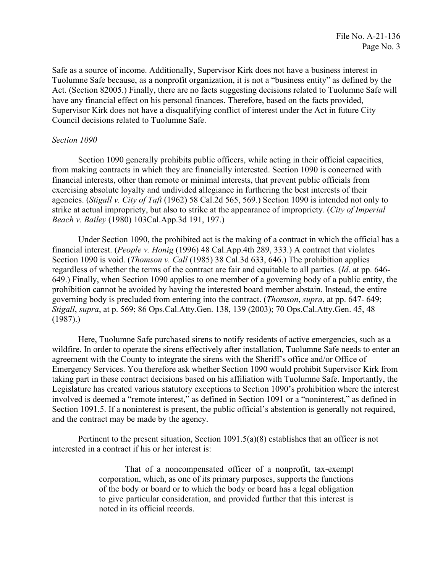Safe as a source of income. Additionally, Supervisor Kirk does not have a business interest in Tuolumne Safe because, as a nonprofit organization, it is not a "business entity" as defined by the Act. (Section 82005.) Finally, there are no facts suggesting decisions related to Tuolumne Safe will have any financial effect on his personal finances. Therefore, based on the facts provided, Supervisor Kirk does not have a disqualifying conflict of interest under the Act in future City Council decisions related to Tuolumne Safe.

# *Section 1090*

Section 1090 generally prohibits public officers, while acting in their official capacities, from making contracts in which they are financially interested. Section 1090 is concerned with financial interests, other than remote or minimal interests, that prevent public officials from exercising absolute loyalty and undivided allegiance in furthering the best interests of their agencies. (*Stigall v. City of Taft* (1962) 58 Cal.2d 565, 569.) Section 1090 is intended not only to strike at actual impropriety, but also to strike at the appearance of impropriety. (*City of Imperial Beach v. Bailey* (1980) [103Cal.App.3d](https://103Cal.App.3d) 191, 197.)

 prohibition cannot be avoided by having the interested board member abstain. Instead, the entire Under Section 1090, the prohibited act is the making of a contract in which the official has a financial interest. (*People v. Honig* (1996) 48 Cal.App.4th 289, 333.) A contract that violates Section 1090 is void. (*Thomson v. Call* (1985) 38 Cal.3d 633, 646.) The prohibition applies regardless of whether the terms of the contract are fair and equitable to all parties. (*Id*. at pp. 646- 649.) Finally, when Section 1090 applies to one member of a governing body of a public entity, the governing body is precluded from entering into the contract. (*Thomson*, *supra*, at pp. 647- 649; *Stigall*, *supra*, at p. 569; 86 Ops.Cal.Atty.Gen. 138, 139 (2003); 70 Ops.Cal.Atty.Gen. 45, 48  $(1987).$ 

Here, Tuolumne Safe purchased sirens to notify residents of active emergencies, such as a wildfire. In order to operate the sirens effectively after installation, Tuolumne Safe needs to enter an agreement with the County to integrate the sirens with the Sheriff's office and/or Office of Emergency Services. You therefore ask whether Section 1090 would prohibit Supervisor Kirk from taking part in these contract decisions based on his affiliation with Tuolumne Safe. Importantly, the Legislature has created various statutory exceptions to Section 1090's prohibition where the interest involved is deemed a "remote interest," as defined in Section 1091 or a "noninterest," as defined in Section 1091.5. If a noninterest is present, the public official's abstention is generally not required, and the contract may be made by the agency.

Pertinent to the present situation, Section 1091.5(a)(8) establishes that an officer is not interested in a contract if his or her interest is:

> That of a noncompensated officer of a nonprofit, tax-exempt corporation, which, as one of its primary purposes, supports the functions of the body or board or to which the body or board has a legal obligation to give particular consideration, and provided further that this interest is noted in its official records.